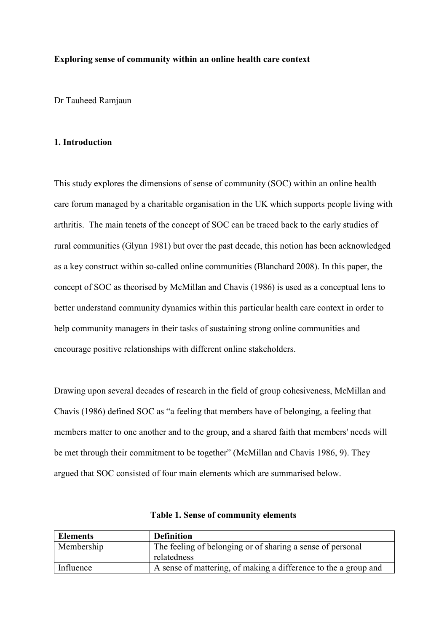#### **Exploring sense of community within an online health care context**

Dr Tauheed Ramjaun

#### **1. Introduction**

This study explores the dimensions of sense of community (SOC) within an online health care forum managed by a charitable organisation in the UK which supports people living with arthritis. The main tenets of the concept of SOC can be traced back to the early studies of rural communities (Glynn 1981) but over the past decade, this notion has been acknowledged as a key construct within so-called online communities (Blanchard 2008). In this paper, the concept of SOC as theorised by McMillan and Chavis (1986) is used as a conceptual lens to better understand community dynamics within this particular health care context in order to help community managers in their tasks of sustaining strong online communities and encourage positive relationships with different online stakeholders.

Drawing upon several decades of research in the field of group cohesiveness, McMillan and Chavis (1986) defined SOC as "a feeling that members have of belonging, a feeling that members matter to one another and to the group, and a shared faith that members' needs will be met through their commitment to be together" (McMillan and Chavis 1986, 9). They argued that SOC consisted of four main elements which are summarised below.

| <b>Elements</b> | <b>Definition</b>                                               |  |
|-----------------|-----------------------------------------------------------------|--|
| Membership      | The feeling of belonging or of sharing a sense of personal      |  |
|                 | relatedness                                                     |  |
| Influence       | A sense of mattering, of making a difference to the a group and |  |

**Table 1. Sense of community elements**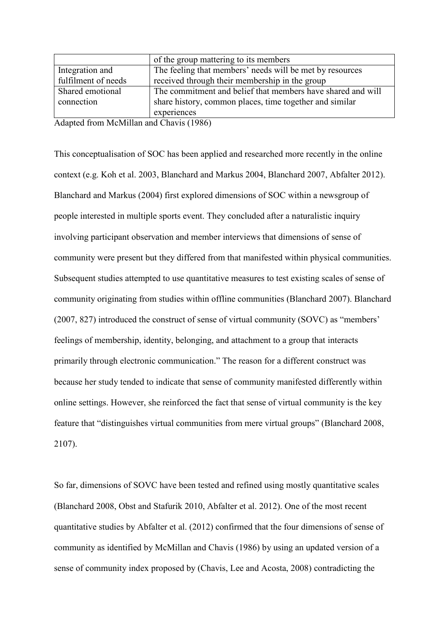|                     | of the group mattering to its members                       |  |  |
|---------------------|-------------------------------------------------------------|--|--|
| Integration and     | The feeling that members' needs will be met by resources    |  |  |
| fulfilment of needs | received through their membership in the group              |  |  |
| Shared emotional    | The commitment and belief that members have shared and will |  |  |
| connection          | share history, common places, time together and similar     |  |  |
|                     | experiences                                                 |  |  |

Adapted from McMillan and Chavis (1986)

This conceptualisation of SOC has been applied and researched more recently in the online context (e.g. Koh et al. 2003, Blanchard and Markus 2004, Blanchard 2007, Abfalter 2012). Blanchard and Markus (2004) first explored dimensions of SOC within a newsgroup of people interested in multiple sports event. They concluded after a naturalistic inquiry involving participant observation and member interviews that dimensions of sense of community were present but they differed from that manifested within physical communities. Subsequent studies attempted to use quantitative measures to test existing scales of sense of community originating from studies within offline communities (Blanchard 2007). Blanchard (2007, 827) introduced the construct of sense of virtual community (SOVC) as "members' feelings of membership, identity, belonging, and attachment to a group that interacts primarily through electronic communication." The reason for a different construct was because her study tended to indicate that sense of community manifested differently within online settings. However, she reinforced the fact that sense of virtual community is the key feature that "distinguishes virtual communities from mere virtual groups" (Blanchard 2008, 2107).

So far, dimensions of SOVC have been tested and refined using mostly quantitative scales (Blanchard 2008, Obst and Stafurik 2010, Abfalter et al. 2012). One of the most recent quantitative studies by Abfalter et al. (2012) confirmed that the four dimensions of sense of community as identified by McMillan and Chavis (1986) by using an updated version of a sense of community index proposed by (Chavis, Lee and Acosta, 2008) contradicting the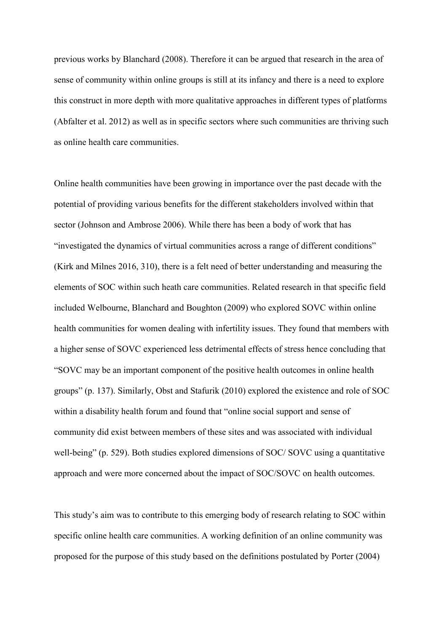previous works by Blanchard (2008). Therefore it can be argued that research in the area of sense of community within online groups is still at its infancy and there is a need to explore this construct in more depth with more qualitative approaches in different types of platforms (Abfalter et al. 2012) as well as in specific sectors where such communities are thriving such as online health care communities.

Online health communities have been growing in importance over the past decade with the potential of providing various benefits for the different stakeholders involved within that sector (Johnson and Ambrose 2006). While there has been a body of work that has "investigated the dynamics of virtual communities across a range of different conditions" (Kirk and Milnes 2016, 310), there is a felt need of better understanding and measuring the elements of SOC within such heath care communities. Related research in that specific field included Welbourne, Blanchard and Boughton (2009) who explored SOVC within online health communities for women dealing with infertility issues. They found that members with a higher sense of SOVC experienced less detrimental effects of stress hence concluding that "SOVC may be an important component of the positive health outcomes in online health groups" (p. 137). Similarly, Obst and Stafurik (2010) explored the existence and role of SOC within a disability health forum and found that "online social support and sense of community did exist between members of these sites and was associated with individual well-being" (p. 529). Both studies explored dimensions of SOC/SOVC using a quantitative approach and were more concerned about the impact of SOC/SOVC on health outcomes.

This study's aim was to contribute to this emerging body of research relating to SOC within specific online health care communities. A working definition of an online community was proposed for the purpose of this study based on the definitions postulated by Porter (2004)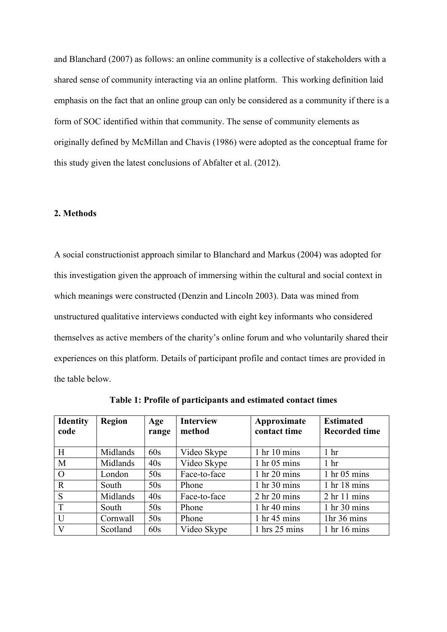and Blanchard (2007) as follows: an online community is a collective of stakeholders with a shared sense of community interacting via an online platform. This working definition laid emphasis on the fact that an online group can only be considered as a community if there is a form of SOC identified within that community. The sense of community elements as originally defined by McMillan and Chavis (1986) were adopted as the conceptual frame for this study given the latest conclusions of Abfalter et al. (2012).

## **2. Methods**

A social constructionist approach similar to Blanchard and Markus (2004) was adopted for this investigation given the approach of immersing within the cultural and social context in which meanings were constructed (Denzin and Lincoln 2003). Data was mined from unstructured qualitative interviews conducted with eight key informants who considered themselves as active members of the charity's online forum and who voluntarily shared their experiences on this platform. Details of participant profile and contact times are provided in the table below.

| <b>Identity</b><br>code | <b>Region</b> | Age<br>range | <b>Interview</b><br>method | Approximate<br>contact time     | <b>Estimated</b><br><b>Recorded time</b> |
|-------------------------|---------------|--------------|----------------------------|---------------------------------|------------------------------------------|
| H                       | Midlands      | 60s          | Video Skype                | $1 \text{ hr} 10 \text{ mins}$  | 1 <sub>hr</sub>                          |
| M                       | Midlands      | 40s          | Video Skype                | $1 \text{ hr} 05 \text{ mins}$  | 1 <sub>hr</sub>                          |
| $\overline{O}$          | London        | 50s          | Face-to-face               | $1 \text{ hr} 20 \text{ mins}$  | $1 \text{ hr} 05 \text{ mins}$           |
| $\mathbf R$             | South         | 50s          | Phone                      | $1 \text{ hr} 30 \text{ mins}$  | 1 <sub>hr</sub> 18 mins                  |
| S                       | Midlands      | 40s          | Face-to-face               | 2 <sub>hr</sub> 20 mins         | 2 <sub>hr</sub> 11 <sub>mins</sub>       |
| T                       | South         | 50s          | Phone                      | $1 \text{ hr} 40 \text{ mins}$  | $1 \text{ hr} 30 \text{ mins}$           |
| U                       | Cornwall      | 50s          | Phone                      | $1 \text{ hr } 45 \text{ mins}$ | 1hr 36 mins                              |
| V                       | Scotland      | 60s          | Video Skype                | 1 hrs 25 mins                   | 1 <sub>hr</sub> 16 mins                  |

**Table 1: Profile of participants and estimated contact times**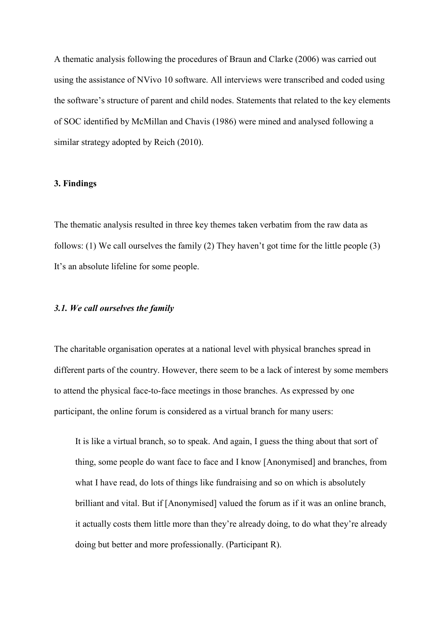A thematic analysis following the procedures of Braun and Clarke (2006) was carried out using the assistance of NVivo 10 software. All interviews were transcribed and coded using the software's structure of parent and child nodes. Statements that related to the key elements of SOC identified by McMillan and Chavis (1986) were mined and analysed following a similar strategy adopted by Reich (2010).

# **3. Findings**

The thematic analysis resulted in three key themes taken verbatim from the raw data as follows: (1) We call ourselves the family (2) They haven't got time for the little people (3) It's an absolute lifeline for some people.

# *3.1. We call ourselves the family*

The charitable organisation operates at a national level with physical branches spread in different parts of the country. However, there seem to be a lack of interest by some members to attend the physical face-to-face meetings in those branches. As expressed by one participant, the online forum is considered as a virtual branch for many users:

It is like a virtual branch, so to speak. And again, I guess the thing about that sort of thing, some people do want face to face and I know [Anonymised] and branches, from what I have read, do lots of things like fundraising and so on which is absolutely brilliant and vital. But if [Anonymised] valued the forum as if it was an online branch, it actually costs them little more than they're already doing, to do what they're already doing but better and more professionally. (Participant R).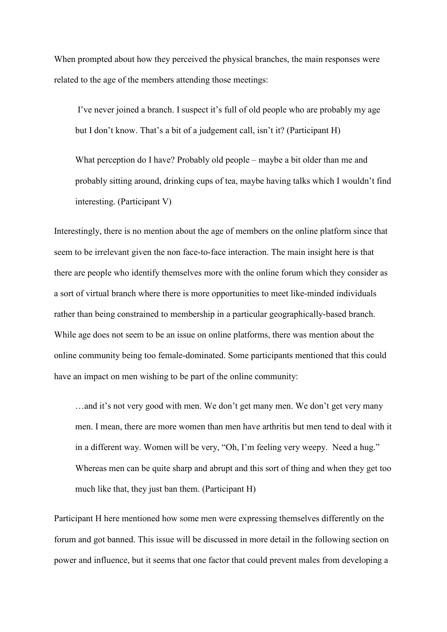When prompted about how they perceived the physical branches, the main responses were related to the age of the members attending those meetings:

I've never joined a branch. I suspect it's full of old people who are probably my age but I don't know. That's a bit of a judgement call, isn't it? (Participant H)

What perception do I have? Probably old people – maybe a bit older than me and probably sitting around, drinking cups of tea, maybe having talks which I wouldn't find interesting. (Participant V)

Interestingly, there is no mention about the age of members on the online platform since that seem to be irrelevant given the non face-to-face interaction. The main insight here is that there are people who identify themselves more with the online forum which they consider as a sort of virtual branch where there is more opportunities to meet like-minded individuals rather than being constrained to membership in a particular geographically-based branch. While age does not seem to be an issue on online platforms, there was mention about the online community being too female-dominated. Some participants mentioned that this could have an impact on men wishing to be part of the online community:

…and it's not very good with men. We don't get many men. We don't get very many men. I mean, there are more women than men have arthritis but men tend to deal with it in a different way. Women will be very, "Oh, I'm feeling very weepy. Need a hug." Whereas men can be quite sharp and abrupt and this sort of thing and when they get too much like that, they just ban them. (Participant H)

Participant H here mentioned how some men were expressing themselves differently on the forum and got banned. This issue will be discussed in more detail in the following section on power and influence, but it seems that one factor that could prevent males from developing a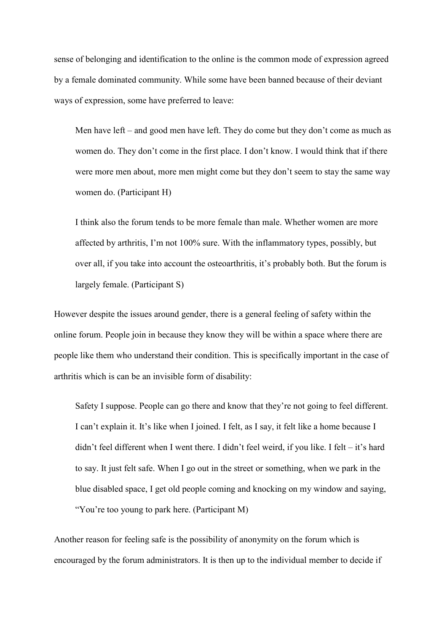sense of belonging and identification to the online is the common mode of expression agreed by a female dominated community. While some have been banned because of their deviant ways of expression, some have preferred to leave:

Men have left – and good men have left. They do come but they don't come as much as women do. They don't come in the first place. I don't know. I would think that if there were more men about, more men might come but they don't seem to stay the same way women do. (Participant H)

I think also the forum tends to be more female than male. Whether women are more affected by arthritis, I'm not 100% sure. With the inflammatory types, possibly, but over all, if you take into account the osteoarthritis, it's probably both. But the forum is largely female. (Participant S)

However despite the issues around gender, there is a general feeling of safety within the online forum. People join in because they know they will be within a space where there are people like them who understand their condition. This is specifically important in the case of arthritis which is can be an invisible form of disability:

Safety I suppose. People can go there and know that they're not going to feel different. I can't explain it. It's like when I joined. I felt, as I say, it felt like a home because I didn't feel different when I went there. I didn't feel weird, if you like. I felt – it's hard to say. It just felt safe. When I go out in the street or something, when we park in the blue disabled space, I get old people coming and knocking on my window and saying, "You're too young to park here. (Participant M)

Another reason for feeling safe is the possibility of anonymity on the forum which is encouraged by the forum administrators. It is then up to the individual member to decide if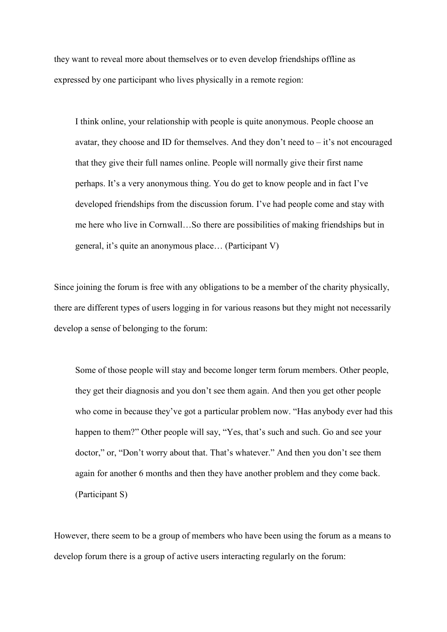they want to reveal more about themselves or to even develop friendships offline as expressed by one participant who lives physically in a remote region:

I think online, your relationship with people is quite anonymous. People choose an avatar, they choose and ID for themselves. And they don't need to – it's not encouraged that they give their full names online. People will normally give their first name perhaps. It's a very anonymous thing. You do get to know people and in fact I've developed friendships from the discussion forum. I've had people come and stay with me here who live in Cornwall…So there are possibilities of making friendships but in general, it's quite an anonymous place… (Participant V)

Since joining the forum is free with any obligations to be a member of the charity physically, there are different types of users logging in for various reasons but they might not necessarily develop a sense of belonging to the forum:

Some of those people will stay and become longer term forum members. Other people, they get their diagnosis and you don't see them again. And then you get other people who come in because they've got a particular problem now. "Has anybody ever had this happen to them?" Other people will say, "Yes, that's such and such. Go and see your doctor," or, "Don't worry about that. That's whatever." And then you don't see them again for another 6 months and then they have another problem and they come back. (Participant S)

However, there seem to be a group of members who have been using the forum as a means to develop forum there is a group of active users interacting regularly on the forum: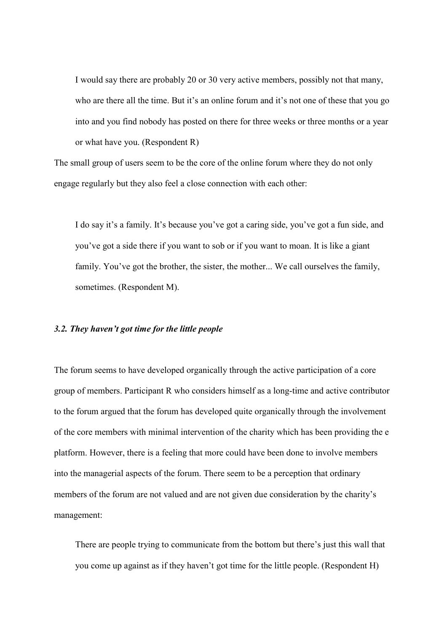I would say there are probably 20 or 30 very active members, possibly not that many, who are there all the time. But it's an online forum and it's not one of these that you go into and you find nobody has posted on there for three weeks or three months or a year or what have you. (Respondent R)

The small group of users seem to be the core of the online forum where they do not only engage regularly but they also feel a close connection with each other:

I do say it's a family. It's because you've got a caring side, you've got a fun side, and you've got a side there if you want to sob or if you want to moan. It is like a giant family. You've got the brother, the sister, the mother... We call ourselves the family, sometimes. (Respondent M).

## *3.2. They haven't got time for the little people*

The forum seems to have developed organically through the active participation of a core group of members. Participant R who considers himself as a long-time and active contributor to the forum argued that the forum has developed quite organically through the involvement of the core members with minimal intervention of the charity which has been providing the e platform. However, there is a feeling that more could have been done to involve members into the managerial aspects of the forum. There seem to be a perception that ordinary members of the forum are not valued and are not given due consideration by the charity's management:

There are people trying to communicate from the bottom but there's just this wall that you come up against as if they haven't got time for the little people. (Respondent H)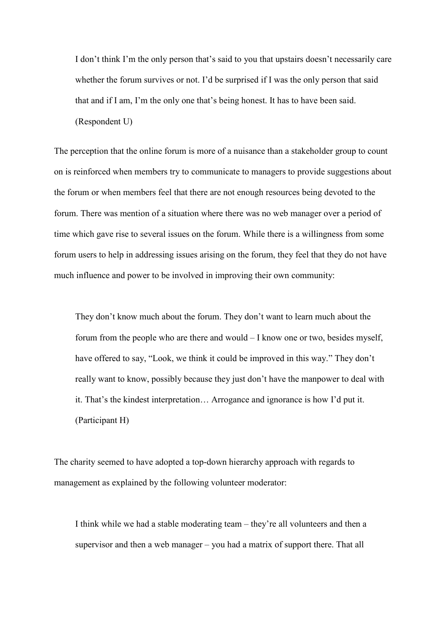I don't think I'm the only person that's said to you that upstairs doesn't necessarily care whether the forum survives or not. I'd be surprised if I was the only person that said that and if I am, I'm the only one that's being honest. It has to have been said. (Respondent U)

The perception that the online forum is more of a nuisance than a stakeholder group to count on is reinforced when members try to communicate to managers to provide suggestions about the forum or when members feel that there are not enough resources being devoted to the forum. There was mention of a situation where there was no web manager over a period of time which gave rise to several issues on the forum. While there is a willingness from some forum users to help in addressing issues arising on the forum, they feel that they do not have much influence and power to be involved in improving their own community:

They don't know much about the forum. They don't want to learn much about the forum from the people who are there and would – I know one or two, besides myself, have offered to say, "Look, we think it could be improved in this way." They don't really want to know, possibly because they just don't have the manpower to deal with it. That's the kindest interpretation… Arrogance and ignorance is how I'd put it. (Participant H)

The charity seemed to have adopted a top-down hierarchy approach with regards to management as explained by the following volunteer moderator:

I think while we had a stable moderating team – they're all volunteers and then a supervisor and then a web manager – you had a matrix of support there. That all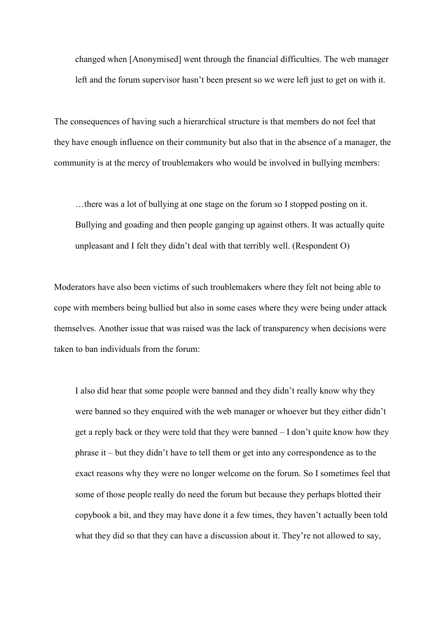changed when [Anonymised] went through the financial difficulties. The web manager left and the forum supervisor hasn't been present so we were left just to get on with it.

The consequences of having such a hierarchical structure is that members do not feel that they have enough influence on their community but also that in the absence of a manager, the community is at the mercy of troublemakers who would be involved in bullying members:

…there was a lot of bullying at one stage on the forum so I stopped posting on it. Bullying and goading and then people ganging up against others. It was actually quite unpleasant and I felt they didn't deal with that terribly well. (Respondent O)

Moderators have also been victims of such troublemakers where they felt not being able to cope with members being bullied but also in some cases where they were being under attack themselves. Another issue that was raised was the lack of transparency when decisions were taken to ban individuals from the forum:

I also did hear that some people were banned and they didn't really know why they were banned so they enquired with the web manager or whoever but they either didn't get a reply back or they were told that they were banned – I don't quite know how they phrase it – but they didn't have to tell them or get into any correspondence as to the exact reasons why they were no longer welcome on the forum. So I sometimes feel that some of those people really do need the forum but because they perhaps blotted their copybook a bit, and they may have done it a few times, they haven't actually been told what they did so that they can have a discussion about it. They're not allowed to say,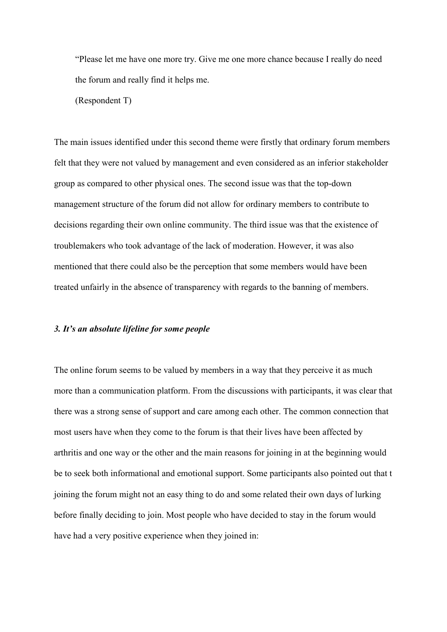"Please let me have one more try. Give me one more chance because I really do need the forum and really find it helps me.

(Respondent T)

The main issues identified under this second theme were firstly that ordinary forum members felt that they were not valued by management and even considered as an inferior stakeholder group as compared to other physical ones. The second issue was that the top-down management structure of the forum did not allow for ordinary members to contribute to decisions regarding their own online community. The third issue was that the existence of troublemakers who took advantage of the lack of moderation. However, it was also mentioned that there could also be the perception that some members would have been treated unfairly in the absence of transparency with regards to the banning of members.

#### *3. It's an absolute lifeline for some people*

The online forum seems to be valued by members in a way that they perceive it as much more than a communication platform. From the discussions with participants, it was clear that there was a strong sense of support and care among each other. The common connection that most users have when they come to the forum is that their lives have been affected by arthritis and one way or the other and the main reasons for joining in at the beginning would be to seek both informational and emotional support. Some participants also pointed out that t joining the forum might not an easy thing to do and some related their own days of lurking before finally deciding to join. Most people who have decided to stay in the forum would have had a very positive experience when they joined in: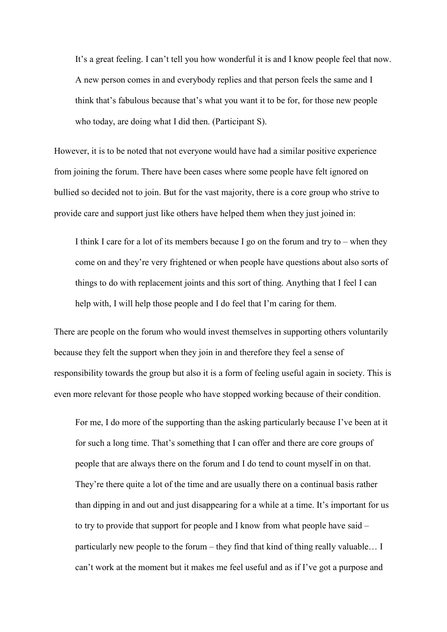It's a great feeling. I can't tell you how wonderful it is and I know people feel that now. A new person comes in and everybody replies and that person feels the same and I think that's fabulous because that's what you want it to be for, for those new people who today, are doing what I did then. (Participant S).

However, it is to be noted that not everyone would have had a similar positive experience from joining the forum. There have been cases where some people have felt ignored on bullied so decided not to join. But for the vast majority, there is a core group who strive to provide care and support just like others have helped them when they just joined in:

I think I care for a lot of its members because I go on the forum and try to – when they come on and they're very frightened or when people have questions about also sorts of things to do with replacement joints and this sort of thing. Anything that I feel I can help with, I will help those people and I do feel that I'm caring for them.

There are people on the forum who would invest themselves in supporting others voluntarily because they felt the support when they join in and therefore they feel a sense of responsibility towards the group but also it is a form of feeling useful again in society. This is even more relevant for those people who have stopped working because of their condition.

For me, I do more of the supporting than the asking particularly because I've been at it for such a long time. That's something that I can offer and there are core groups of people that are always there on the forum and I do tend to count myself in on that. They're there quite a lot of the time and are usually there on a continual basis rather than dipping in and out and just disappearing for a while at a time. It's important for us to try to provide that support for people and I know from what people have said – particularly new people to the forum – they find that kind of thing really valuable… I can't work at the moment but it makes me feel useful and as if I've got a purpose and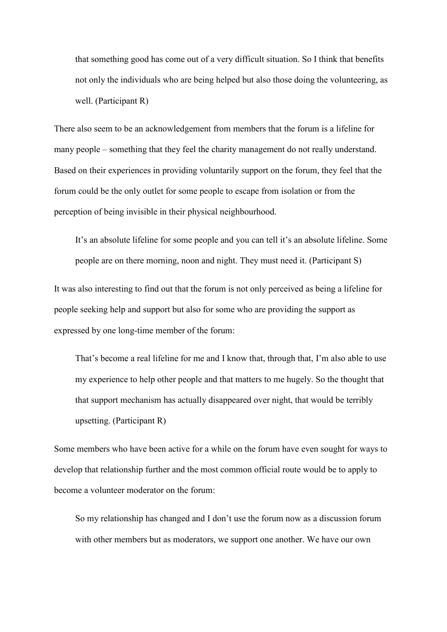that something good has come out of a very difficult situation. So I think that benefits not only the individuals who are being helped but also those doing the volunteering, as well. (Participant R)

There also seem to be an acknowledgement from members that the forum is a lifeline for many people – something that they feel the charity management do not really understand. Based on their experiences in providing voluntarily support on the forum, they feel that the forum could be the only outlet for some people to escape from isolation or from the perception of being invisible in their physical neighbourhood.

It's an absolute lifeline for some people and you can tell it's an absolute lifeline. Some people are on there morning, noon and night. They must need it. (Participant S)

It was also interesting to find out that the forum is not only perceived as being a lifeline for people seeking help and support but also for some who are providing the support as expressed by one long-time member of the forum:

That's become a real lifeline for me and I know that, through that, I'm also able to use my experience to help other people and that matters to me hugely. So the thought that that support mechanism has actually disappeared over night, that would be terribly upsetting. (Participant R)

Some members who have been active for a while on the forum have even sought for ways to develop that relationship further and the most common official route would be to apply to become a volunteer moderator on the forum:

So my relationship has changed and I don't use the forum now as a discussion forum with other members but as moderators, we support one another. We have our own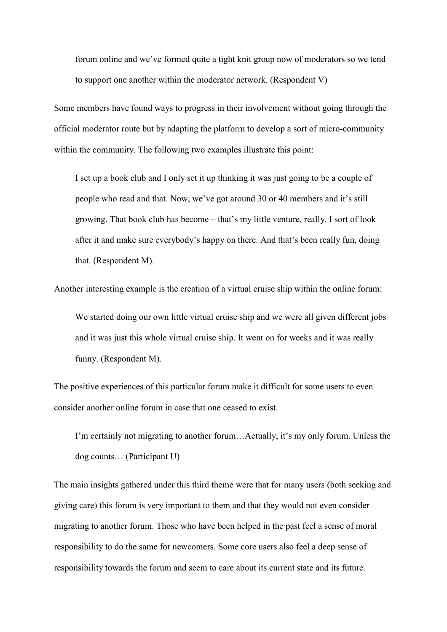forum online and we've formed quite a tight knit group now of moderators so we tend to support one another within the moderator network. (Respondent V)

Some members have found ways to progress in their involvement without going through the official moderator route but by adapting the platform to develop a sort of micro-community within the community. The following two examples illustrate this point:

I set up a book club and I only set it up thinking it was just going to be a couple of people who read and that. Now, we've got around 30 or 40 members and it's still growing. That book club has become – that's my little venture, really. I sort of look after it and make sure everybody's happy on there. And that's been really fun, doing that. (Respondent M).

Another interesting example is the creation of a virtual cruise ship within the online forum:

We started doing our own little virtual cruise ship and we were all given different jobs and it was just this whole virtual cruise ship. It went on for weeks and it was really funny. (Respondent M).

The positive experiences of this particular forum make it difficult for some users to even consider another online forum in case that one ceased to exist.

I'm certainly not migrating to another forum…Actually, it's my only forum. Unless the dog counts… (Participant U)

The main insights gathered under this third theme were that for many users (both seeking and giving care) this forum is very important to them and that they would not even consider migrating to another forum. Those who have been helped in the past feel a sense of moral responsibility to do the same for newcomers. Some core users also feel a deep sense of responsibility towards the forum and seem to care about its current state and its future.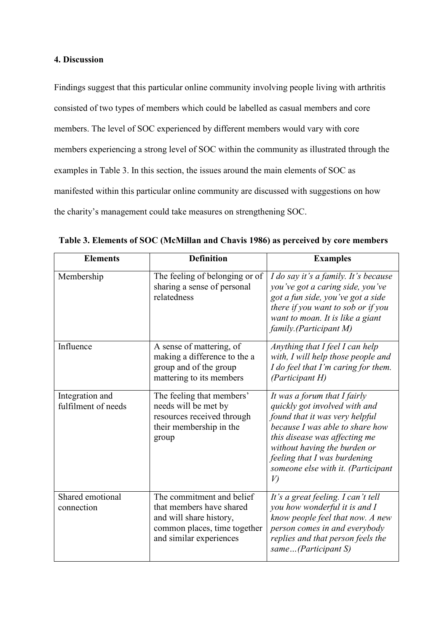# **4. Discussion**

Findings suggest that this particular online community involving people living with arthritis consisted of two types of members which could be labelled as casual members and core members. The level of SOC experienced by different members would vary with core members experiencing a strong level of SOC within the community as illustrated through the examples in Table 3. In this section, the issues around the main elements of SOC as manifested within this particular online community are discussed with suggestions on how the charity's management could take measures on strengthening SOC.

| <b>Elements</b>                        | <b>Definition</b>                                                                                                                           | <b>Examples</b>                                                                                                                                                                                                                                                                |  |
|----------------------------------------|---------------------------------------------------------------------------------------------------------------------------------------------|--------------------------------------------------------------------------------------------------------------------------------------------------------------------------------------------------------------------------------------------------------------------------------|--|
| Membership                             | The feeling of belonging or of<br>sharing a sense of personal<br>relatedness                                                                | I do say it's a family. It's because<br>you've got a caring side, you've<br>got a fun side, you've got a side<br>there if you want to sob or if you<br>want to moan. It is like a giant<br>family.(Participant M)                                                              |  |
| Influence                              | A sense of mattering, of<br>making a difference to the a<br>group and of the group<br>mattering to its members                              | Anything that I feel I can help<br>with, I will help those people and<br>I do feel that I'm caring for them.<br>(Participant H)                                                                                                                                                |  |
| Integration and<br>fulfilment of needs | The feeling that members'<br>needs will be met by<br>resources received through<br>their membership in the<br>group                         | It was a forum that I fairly<br>quickly got involved with and<br>found that it was very helpful<br>because I was able to share how<br>this disease was affecting me<br>without having the burden or<br>feeling that I was burdening<br>someone else with it. (Participant<br>V |  |
| Shared emotional<br>connection         | The commitment and belief<br>that members have shared<br>and will share history,<br>common places, time together<br>and similar experiences | It's a great feeling. I can't tell<br>you how wonderful it is and I<br>know people feel that now. A new<br>person comes in and everybody<br>replies and that person feels the<br>same $(Participant S)$                                                                        |  |

**Table 3. Elements of SOC (McMillan and Chavis 1986) as perceived by core members**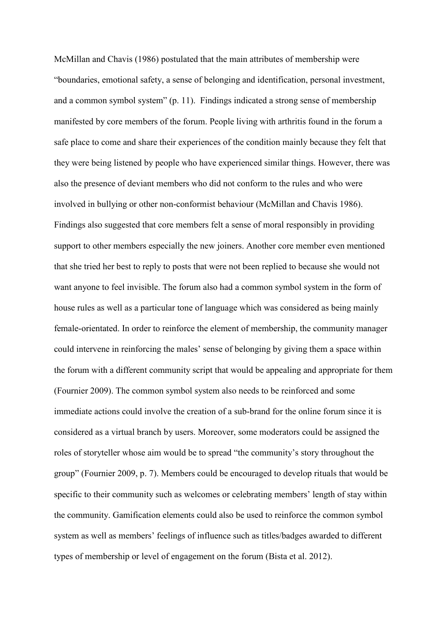McMillan and Chavis (1986) postulated that the main attributes of membership were "boundaries, emotional safety, a sense of belonging and identification, personal investment, and a common symbol system" (p. 11). Findings indicated a strong sense of membership manifested by core members of the forum. People living with arthritis found in the forum a safe place to come and share their experiences of the condition mainly because they felt that they were being listened by people who have experienced similar things. However, there was also the presence of deviant members who did not conform to the rules and who were involved in bullying or other non-conformist behaviour (McMillan and Chavis 1986). Findings also suggested that core members felt a sense of moral responsibly in providing support to other members especially the new joiners. Another core member even mentioned that she tried her best to reply to posts that were not been replied to because she would not want anyone to feel invisible. The forum also had a common symbol system in the form of house rules as well as a particular tone of language which was considered as being mainly female-orientated. In order to reinforce the element of membership, the community manager could intervene in reinforcing the males' sense of belonging by giving them a space within the forum with a different community script that would be appealing and appropriate for them (Fournier 2009). The common symbol system also needs to be reinforced and some immediate actions could involve the creation of a sub-brand for the online forum since it is considered as a virtual branch by users. Moreover, some moderators could be assigned the roles of storyteller whose aim would be to spread "the community's story throughout the group" (Fournier 2009, p. 7). Members could be encouraged to develop rituals that would be specific to their community such as welcomes or celebrating members' length of stay within the community. Gamification elements could also be used to reinforce the common symbol system as well as members' feelings of influence such as titles/badges awarded to different types of membership or level of engagement on the forum (Bista et al. 2012).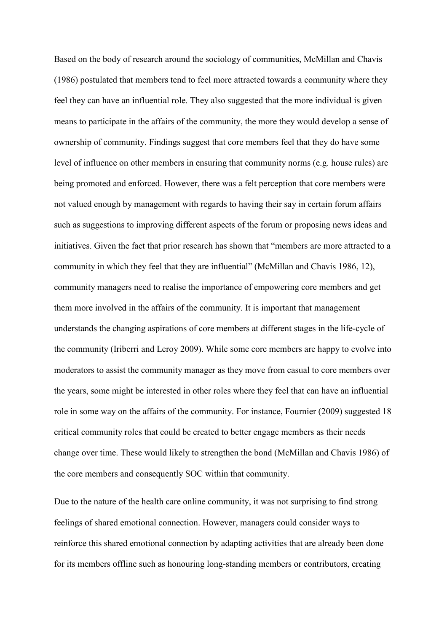Based on the body of research around the sociology of communities, McMillan and Chavis (1986) postulated that members tend to feel more attracted towards a community where they feel they can have an influential role. They also suggested that the more individual is given means to participate in the affairs of the community, the more they would develop a sense of ownership of community. Findings suggest that core members feel that they do have some level of influence on other members in ensuring that community norms (e.g. house rules) are being promoted and enforced. However, there was a felt perception that core members were not valued enough by management with regards to having their say in certain forum affairs such as suggestions to improving different aspects of the forum or proposing news ideas and initiatives. Given the fact that prior research has shown that "members are more attracted to a community in which they feel that they are influential" (McMillan and Chavis 1986, 12), community managers need to realise the importance of empowering core members and get them more involved in the affairs of the community. It is important that management understands the changing aspirations of core members at different stages in the life-cycle of the community (Iriberri and Leroy 2009). While some core members are happy to evolve into moderators to assist the community manager as they move from casual to core members over the years, some might be interested in other roles where they feel that can have an influential role in some way on the affairs of the community. For instance, Fournier (2009) suggested 18 critical community roles that could be created to better engage members as their needs change over time. These would likely to strengthen the bond (McMillan and Chavis 1986) of the core members and consequently SOC within that community.

Due to the nature of the health care online community, it was not surprising to find strong feelings of shared emotional connection. However, managers could consider ways to reinforce this shared emotional connection by adapting activities that are already been done for its members offline such as honouring long-standing members or contributors, creating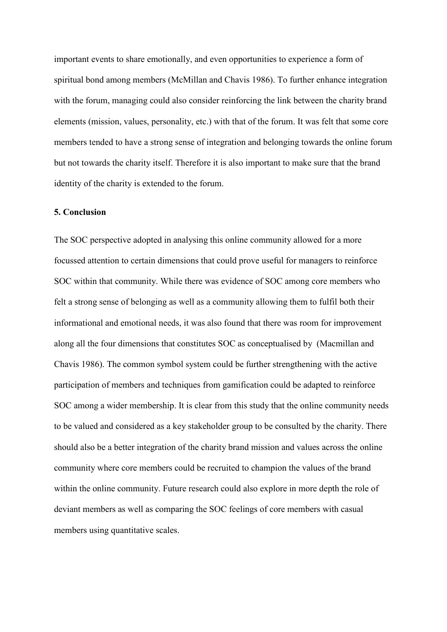important events to share emotionally, and even opportunities to experience a form of spiritual bond among members (McMillan and Chavis 1986). To further enhance integration with the forum, managing could also consider reinforcing the link between the charity brand elements (mission, values, personality, etc.) with that of the forum. It was felt that some core members tended to have a strong sense of integration and belonging towards the online forum but not towards the charity itself. Therefore it is also important to make sure that the brand identity of the charity is extended to the forum.

# **5. Conclusion**

The SOC perspective adopted in analysing this online community allowed for a more focussed attention to certain dimensions that could prove useful for managers to reinforce SOC within that community. While there was evidence of SOC among core members who felt a strong sense of belonging as well as a community allowing them to fulfil both their informational and emotional needs, it was also found that there was room for improvement along all the four dimensions that constitutes SOC as conceptualised by (Macmillan and Chavis 1986). The common symbol system could be further strengthening with the active participation of members and techniques from gamification could be adapted to reinforce SOC among a wider membership. It is clear from this study that the online community needs to be valued and considered as a key stakeholder group to be consulted by the charity. There should also be a better integration of the charity brand mission and values across the online community where core members could be recruited to champion the values of the brand within the online community. Future research could also explore in more depth the role of deviant members as well as comparing the SOC feelings of core members with casual members using quantitative scales.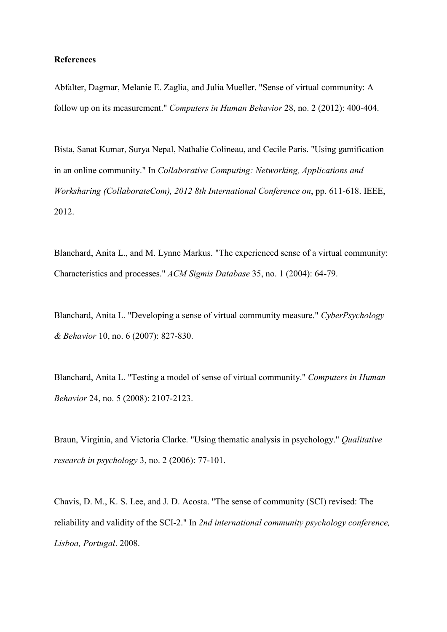## **References**

Abfalter, Dagmar, Melanie E. Zaglia, and Julia Mueller. "Sense of virtual community: A follow up on its measurement." *Computers in Human Behavior* 28, no. 2 (2012): 400-404.

Bista, Sanat Kumar, Surya Nepal, Nathalie Colineau, and Cecile Paris. "Using gamification in an online community." In *Collaborative Computing: Networking, Applications and Worksharing (CollaborateCom), 2012 8th International Conference on*, pp. 611-618. IEEE, 2012.

Blanchard, Anita L., and M. Lynne Markus. "The experienced sense of a virtual community: Characteristics and processes." *ACM Sigmis Database* 35, no. 1 (2004): 64-79.

Blanchard, Anita L. "Developing a sense of virtual community measure." *CyberPsychology & Behavior* 10, no. 6 (2007): 827-830.

Blanchard, Anita L. "Testing a model of sense of virtual community." *Computers in Human Behavior* 24, no. 5 (2008): 2107-2123.

Braun, Virginia, and Victoria Clarke. "Using thematic analysis in psychology." *Qualitative research in psychology* 3, no. 2 (2006): 77-101.

Chavis, D. M., K. S. Lee, and J. D. Acosta. "The sense of community (SCI) revised: The reliability and validity of the SCI-2." In *2nd international community psychology conference, Lisboa, Portugal*. 2008.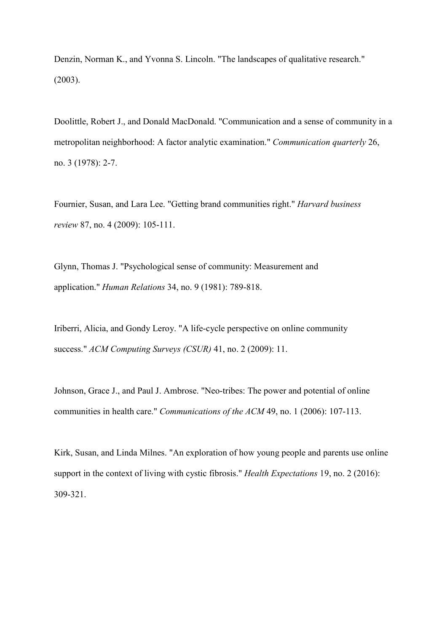Denzin, Norman K., and Yvonna S. Lincoln. "The landscapes of qualitative research." (2003).

Doolittle, Robert J., and Donald MacDonald. "Communication and a sense of community in a metropolitan neighborhood: A factor analytic examination." *Communication quarterly* 26, no. 3 (1978): 2-7.

Fournier, Susan, and Lara Lee. "Getting brand communities right." *Harvard business review* 87, no. 4 (2009): 105-111.

Glynn, Thomas J. "Psychological sense of community: Measurement and application." *Human Relations* 34, no. 9 (1981): 789-818.

Iriberri, Alicia, and Gondy Leroy. "A life-cycle perspective on online community success." *ACM Computing Surveys (CSUR)* 41, no. 2 (2009): 11.

Johnson, Grace J., and Paul J. Ambrose. "Neo-tribes: The power and potential of online communities in health care." *Communications of the ACM* 49, no. 1 (2006): 107-113.

Kirk, Susan, and Linda Milnes. "An exploration of how young people and parents use online support in the context of living with cystic fibrosis." *Health Expectations* 19, no. 2 (2016): 309-321.